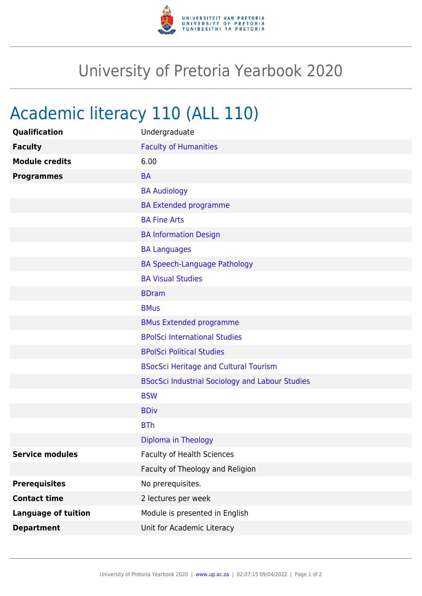

## University of Pretoria Yearbook 2020

## Academic literacy 110 (ALL 110)

| Qualification              | Undergraduate                                          |
|----------------------------|--------------------------------------------------------|
| <b>Faculty</b>             | <b>Faculty of Humanities</b>                           |
| <b>Module credits</b>      | 6.00                                                   |
| <b>Programmes</b>          | <b>BA</b>                                              |
|                            | <b>BA Audiology</b>                                    |
|                            | <b>BA Extended programme</b>                           |
|                            | <b>BA Fine Arts</b>                                    |
|                            | <b>BA Information Design</b>                           |
|                            | <b>BA Languages</b>                                    |
|                            | <b>BA Speech-Language Pathology</b>                    |
|                            | <b>BA Visual Studies</b>                               |
|                            | <b>BDram</b>                                           |
|                            | <b>BMus</b>                                            |
|                            | <b>BMus Extended programme</b>                         |
|                            | <b>BPolSci International Studies</b>                   |
|                            | <b>BPolSci Political Studies</b>                       |
|                            | <b>BSocSci Heritage and Cultural Tourism</b>           |
|                            | <b>BSocSci Industrial Sociology and Labour Studies</b> |
|                            | <b>BSW</b>                                             |
|                            | <b>BDiv</b>                                            |
|                            | <b>BTh</b>                                             |
|                            | Diploma in Theology                                    |
| <b>Service modules</b>     | <b>Faculty of Health Sciences</b>                      |
|                            | Faculty of Theology and Religion                       |
| <b>Prerequisites</b>       | No prerequisites.                                      |
| <b>Contact time</b>        | 2 lectures per week                                    |
| <b>Language of tuition</b> | Module is presented in English                         |
| <b>Department</b>          | Unit for Academic Literacy                             |
|                            |                                                        |